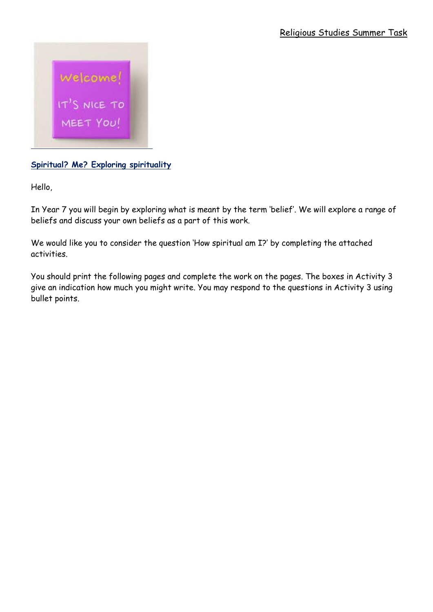

**Spiritual? Me? Exploring spirituality**

Hello,

In Year 7 you will begin by exploring what is meant by the term 'belief'. We will explore a range of beliefs and discuss your own beliefs as a part of this work.

We would like you to consider the question 'How spiritual am I?' by completing the attached activities.

You should print the following pages and complete the work on the pages. The boxes in Activity 3 give an indication how much you might write. You may respond to the questions in Activity 3 using bullet points.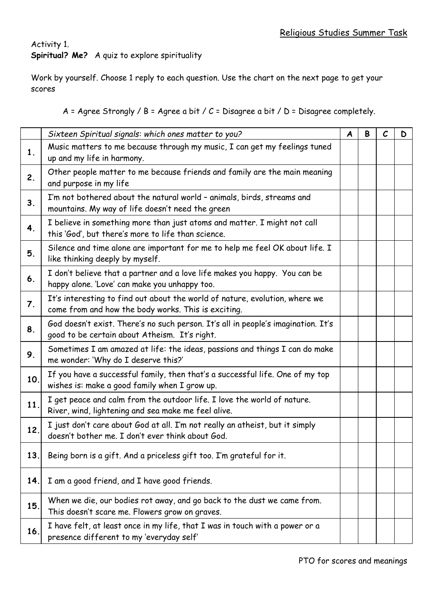## Activity 1. **Spiritual? Me?** A quiz to explore spirituality

Work by yourself. Choose 1 reply to each question. Use the chart on the next page to get your scores

A = Agree Strongly / B = Agree a bit / C = Disagree a bit / D = Disagree completely.

|     | Sixteen Spiritual signals: which ones matter to you?                                                                               | $\boldsymbol{A}$ | B | $\mathcal{C}$ | D |
|-----|------------------------------------------------------------------------------------------------------------------------------------|------------------|---|---------------|---|
| 1.  | Music matters to me because through my music, I can get my feelings tuned<br>up and my life in harmony.                            |                  |   |               |   |
| 2.  | Other people matter to me because friends and family are the main meaning<br>and purpose in my life                                |                  |   |               |   |
| 3.  | I'm not bothered about the natural world - animals, birds, streams and<br>mountains. My way of life doesn't need the green         |                  |   |               |   |
| 4.  | I believe in something more than just atoms and matter. I might not call<br>this 'God', but there's more to life than science.     |                  |   |               |   |
| 5.  | Silence and time alone are important for me to help me feel OK about life. I<br>like thinking deeply by myself.                    |                  |   |               |   |
| 6.  | I don't believe that a partner and a love life makes you happy. You can be<br>happy alone. 'Love' can make you unhappy too.        |                  |   |               |   |
| 7.  | It's interesting to find out about the world of nature, evolution, where we<br>come from and how the body works. This is exciting. |                  |   |               |   |
| 8.  | God doesn't exist. There's no such person. It's all in people's imagination. It's<br>good to be certain about Atheism. It's right. |                  |   |               |   |
| 9.  | Sometimes I am amazed at life: the ideas, passions and things I can do make<br>me wonder: 'Why do I deserve this?'                 |                  |   |               |   |
| 10. | If you have a successful family, then that's a successful life. One of my top<br>wishes is: make a good family when I grow up.     |                  |   |               |   |
| 11. | I get peace and calm from the outdoor life. I love the world of nature.<br>River, wind, lightening and sea make me feel alive.     |                  |   |               |   |
| 12. | I just don't care about God at all. I'm not really an atheist, but it simply<br>doesn't bother me. I don't ever think about God.   |                  |   |               |   |
| 13. | Being born is a gift. And a priceless gift too. I'm grateful for it.                                                               |                  |   |               |   |
| 14. | I am a good friend, and I have good friends.                                                                                       |                  |   |               |   |
| 15. | When we die, our bodies rot away, and go back to the dust we came from.<br>This doesn't scare me. Flowers grow on graves.          |                  |   |               |   |
| 16. | I have felt, at least once in my life, that I was in touch with a power or a<br>presence different to my 'everyday self'           |                  |   |               |   |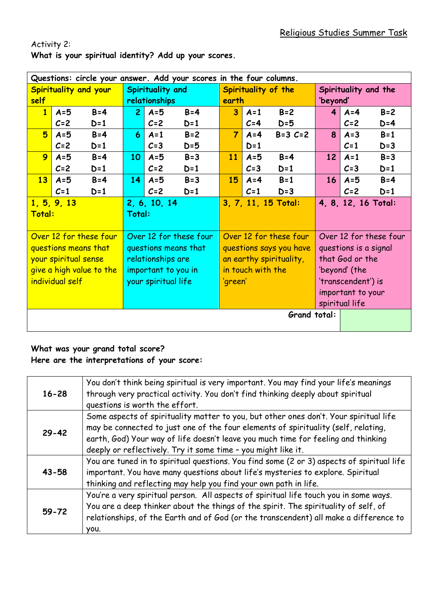| Questions: circle your answer. Add your scores in the four columns. |         |                     |                        |                     |                        |                         |                      |                        |                 |                |         |
|---------------------------------------------------------------------|---------|---------------------|------------------------|---------------------|------------------------|-------------------------|----------------------|------------------------|-----------------|----------------|---------|
| Spirituality and your                                               |         |                     | Spirituality and       |                     | Spirituality of the    |                         | Spirituality and the |                        |                 |                |         |
| self                                                                |         | relationships       |                        | earth               |                        |                         | 'beyond'             |                        |                 |                |         |
| $\mathbf{1}$                                                        | $A = 5$ | $B = 4$             | $\overline{2}$         | $A = 5$             | $B = 4$                | $\overline{\mathbf{3}}$ | $A=1$                | $B=2$                  | 4               | $A = 4$        | $B=2$   |
|                                                                     | $C=2$   | $D=1$               |                        | $C=2$               | $D=1$                  |                         | $C=4$                | $D=5$                  |                 | $C=2$          | $D=4$   |
| 5                                                                   | $A = 5$ | $B = 4$             | 6                      | $A = 1$             | $B=2$                  | $\overline{7}$          | $A = 4$              | $B = 3 C = 2$          | 8               | $A = 3$        | $B = 1$ |
|                                                                     | $C=2$   | $D=1$               |                        | $C = 3$             | $D=5$                  |                         | $D=1$                |                        |                 | $C=1$          | $D=3$   |
| 9                                                                   | $A = 5$ | $B = 4$             | 10                     | $A = 5$             | $B = 3$                | 11                      | $A = 5$              | $B = 4$                | 12              | $A = 1$        | $B=3$   |
|                                                                     | $C=2$   | $D=1$               |                        | $C=2$               | $D=1$                  |                         | $C=3$                | $D=1$                  |                 | $C=3$          | $D=1$   |
| 13                                                                  | $A = 5$ | $B = 4$             | 14                     | $A = 5$             | $B = 3$                | 15                      | $A = 4$              | $B = 1$                | 16              | $A=5$          | $B = 4$ |
|                                                                     | $C=1$   | $D=1$               |                        | $C=2$               | $D=1$                  |                         | $C=1$                | $D=3$                  |                 | $C=2$          | $D=1$   |
| 1, 5, 9, 13                                                         |         | 2, 6, 10, 14        |                        | 3, 7, 11, 15 Total: |                        |                         | 4, 8, 12, 16 Total:  |                        |                 |                |         |
| Total:                                                              |         | Total:              |                        |                     |                        |                         |                      |                        |                 |                |         |
|                                                                     |         |                     |                        |                     |                        |                         |                      |                        |                 |                |         |
| Over 12 for these four                                              |         |                     | Over 12 for these four |                     | Over 12 for these four |                         |                      | Over 12 for these four |                 |                |         |
| questions means that                                                |         |                     |                        |                     | questions means that   | questions says you have |                      | questions is a signal  |                 |                |         |
| your spiritual sense                                                |         |                     |                        | relationships are   |                        | an earthy spirituality, |                      |                        | that God or the |                |         |
| give a high value to the                                            |         |                     |                        | important to you in |                        | in touch with the       |                      |                        | 'beyond' (the   |                |         |
| individual self                                                     |         | your spiritual life |                        | 'green'             |                        | 'transcendent') is      |                      |                        |                 |                |         |
|                                                                     |         |                     |                        |                     |                        |                         |                      | important to your      |                 |                |         |
|                                                                     |         |                     |                        |                     |                        |                         |                      |                        |                 | spiritual life |         |
| Grand total:                                                        |         |                     |                        |                     |                        |                         |                      |                        |                 |                |         |
|                                                                     |         |                     |                        |                     |                        |                         |                      |                        |                 |                |         |

Activity 2: **What is your spiritual identity? Add up your scores.**

## **What was your grand total score? Here are the interpretations of your score:**

| $16 - 28$ | You don't think being spiritual is very important. You may find your life's meanings<br>through very practical activity. You don't find thinking deeply about spiritual<br>questions is worth the effort.                                                                                                                         |
|-----------|-----------------------------------------------------------------------------------------------------------------------------------------------------------------------------------------------------------------------------------------------------------------------------------------------------------------------------------|
| $29 - 42$ | Some aspects of spirituality matter to you, but other ones don't. Your spiritual life<br>may be connected to just one of the four elements of spirituality (self, relating,<br>earth, God) Your way of life doesn't leave you much time for feeling and thinking<br>deeply or reflectively. Try it some time - you might like it. |
| $43 - 58$ | You are tuned in to spiritual questions. You find some (2 or 3) aspects of spiritual life<br>important. You have many questions about life's mysteries to explore. Spiritual<br>thinking and reflecting may help you find your own path in life.                                                                                  |
| $59 - 72$ | You're a very spiritual person. All aspects of spiritual life touch you in some ways.<br>You are a deep thinker about the things of the spirit. The spirituality of self, of<br>relationships, of the Earth and of God (or the transcendent) all make a difference to<br>you.                                                     |